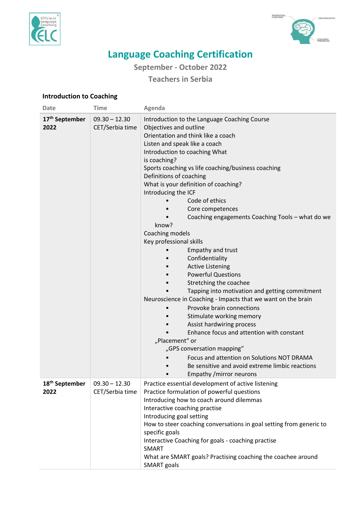



## **Language Coaching Certification**

**September - October 2022**

**Teachers in Serbia** 

## **Introduction to Coaching**

| <b>Date</b>                        | <b>Time</b>                        | Agenda                                                                                                                                                                                                                                                                                                                                                                                                                                                                                                                                                                                                                                                                                                                                                                                                                                                                                                                                                                                                                                                             |
|------------------------------------|------------------------------------|--------------------------------------------------------------------------------------------------------------------------------------------------------------------------------------------------------------------------------------------------------------------------------------------------------------------------------------------------------------------------------------------------------------------------------------------------------------------------------------------------------------------------------------------------------------------------------------------------------------------------------------------------------------------------------------------------------------------------------------------------------------------------------------------------------------------------------------------------------------------------------------------------------------------------------------------------------------------------------------------------------------------------------------------------------------------|
| 17 <sup>th</sup> September<br>2022 | $09.30 - 12.30$<br>CET/Serbia time | Introduction to the Language Coaching Course<br>Objectives and outline<br>Orientation and think like a coach<br>Listen and speak like a coach<br>Introduction to coaching What<br>is coaching?<br>Sports coaching vs life coaching/business coaching<br>Definitions of coaching<br>What is your definition of coaching?<br>Introducing the ICF<br>Code of ethics<br>Core competences<br>Coaching engagements Coaching Tools - what do we<br>know?<br>Coaching models<br>Key professional skills<br><b>Empathy and trust</b><br>Confidentiality<br><b>Active Listening</b><br><b>Powerful Questions</b><br>Stretching the coachee<br>Tapping into motivation and getting commitment<br>Neuroscience in Coaching - Impacts that we want on the brain<br>Provoke brain connections<br>Stimulate working memory<br>Assist hardwiring process<br>Enhance focus and attention with constant<br>"Placement" or<br>"GPS conversation mapping"<br>Focus and attention on Solutions NOT DRAMA<br>Be sensitive and avoid extreme limbic reactions<br>Empathy / mirror neurons |
| 18 <sup>th</sup> September<br>2022 | $09.30 - 12.30$<br>CET/Serbia time | Practice essential development of active listening<br>Practice formulation of powerful questions<br>Introducing how to coach around dilemmas<br>Interactive coaching practise<br>Introducing goal setting<br>How to steer coaching conversations in goal setting from generic to<br>specific goals<br>Interactive Coaching for goals - coaching practise<br><b>SMART</b><br>What are SMART goals? Practising coaching the coachee around<br><b>SMART</b> goals                                                                                                                                                                                                                                                                                                                                                                                                                                                                                                                                                                                                     |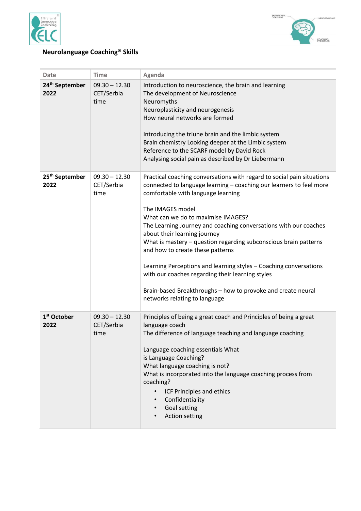



## **Neurolanguage Coaching® Skills**

| <b>Date</b>                        | <b>Time</b>                           | Agenda                                                                                                                                                                                                                                                                                                                                                                                                                                                                                                                                                                                                                                                                              |
|------------------------------------|---------------------------------------|-------------------------------------------------------------------------------------------------------------------------------------------------------------------------------------------------------------------------------------------------------------------------------------------------------------------------------------------------------------------------------------------------------------------------------------------------------------------------------------------------------------------------------------------------------------------------------------------------------------------------------------------------------------------------------------|
| 24 <sup>th</sup> September<br>2022 | $09.30 - 12.30$<br>CET/Serbia<br>time | Introduction to neuroscience, the brain and learning<br>The development of Neuroscience<br>Neuromyths<br>Neuroplasticity and neurogenesis<br>How neural networks are formed<br>Introducing the triune brain and the limbic system<br>Brain chemistry Looking deeper at the Limbic system<br>Reference to the SCARF model by David Rock<br>Analysing social pain as described by Dr Liebermann                                                                                                                                                                                                                                                                                       |
| 25 <sup>th</sup> September<br>2022 | $09.30 - 12.30$<br>CET/Serbia<br>time | Practical coaching conversations with regard to social pain situations<br>connected to language learning - coaching our learners to feel more<br>comfortable with language learning<br>The IMAGES model<br>What can we do to maximise IMAGES?<br>The Learning Journey and coaching conversations with our coaches<br>about their learning journey<br>What is mastery - question regarding subconscious brain patterns<br>and how to create these patterns<br>Learning Perceptions and learning styles - Coaching conversations<br>with our coaches regarding their learning styles<br>Brain-based Breakthroughs - how to provoke and create neural<br>networks relating to language |
| 1 <sup>st</sup> October<br>2022    | $09.30 - 12.30$<br>CET/Serbia<br>time | Principles of being a great coach and Principles of being a great<br>language coach<br>The difference of language teaching and language coaching<br>Language coaching essentials What<br>is Language Coaching?<br>What language coaching is not?<br>What is incorporated into the language coaching process from<br>coaching?<br>ICF Principles and ethics<br>$\bullet$<br>Confidentiality<br>$\bullet$<br><b>Goal setting</b><br>$\bullet$<br><b>Action setting</b>                                                                                                                                                                                                                |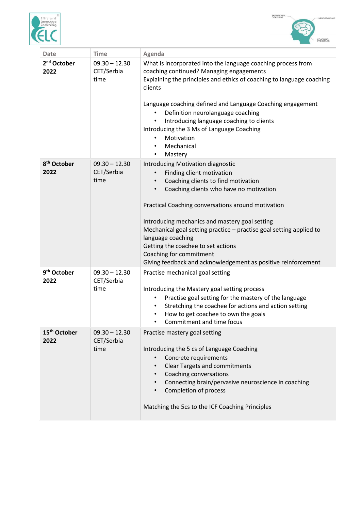



| <b>Date</b>                      | <b>Time</b>                           | Agenda                                                                                                                                                                                                                                                                                                                                                                                                                                                                                 |
|----------------------------------|---------------------------------------|----------------------------------------------------------------------------------------------------------------------------------------------------------------------------------------------------------------------------------------------------------------------------------------------------------------------------------------------------------------------------------------------------------------------------------------------------------------------------------------|
| 2 <sup>nd</sup> October<br>2022  | $09.30 - 12.30$<br>CET/Serbia<br>time | What is incorporated into the language coaching process from<br>coaching continued? Managing engagements<br>Explaining the principles and ethics of coaching to language coaching<br>clients<br>Language coaching defined and Language Coaching engagement<br>Definition neurolanguage coaching<br>Introducing language coaching to clients<br>Introducing the 3 Ms of Language Coaching<br>Motivation<br>Mechanical<br>Mastery<br>$\bullet$                                           |
| 8 <sup>th</sup> October<br>2022  | $09.30 - 12.30$<br>CET/Serbia<br>time | Introducing Motivation diagnostic<br>Finding client motivation<br>Coaching clients to find motivation<br>Coaching clients who have no motivation<br>Practical Coaching conversations around motivation<br>Introducing mechanics and mastery goal setting<br>Mechanical goal setting practice - practise goal setting applied to<br>language coaching<br>Getting the coachee to set actions<br>Coaching for commitment<br>Giving feedback and acknowledgement as positive reinforcement |
| 9 <sup>th</sup> October<br>2022  | $09.30 - 12.30$<br>CET/Serbia<br>time | Practise mechanical goal setting<br>Introducing the Mastery goal setting process<br>Practise goal setting for the mastery of the language<br>Stretching the coachee for actions and action setting<br>How to get coachee to own the goals<br>٠<br>Commitment and time focus                                                                                                                                                                                                            |
| 15 <sup>th</sup> October<br>2022 | $09.30 - 12.30$<br>CET/Serbia<br>time | Practise mastery goal setting<br>Introducing the 5 cs of Language Coaching<br>Concrete requirements<br>$\bullet$<br><b>Clear Targets and commitments</b><br>$\bullet$<br>Coaching conversations<br>$\bullet$<br>Connecting brain/pervasive neuroscience in coaching<br>Completion of process<br>$\bullet$<br>Matching the 5cs to the ICF Coaching Principles                                                                                                                           |